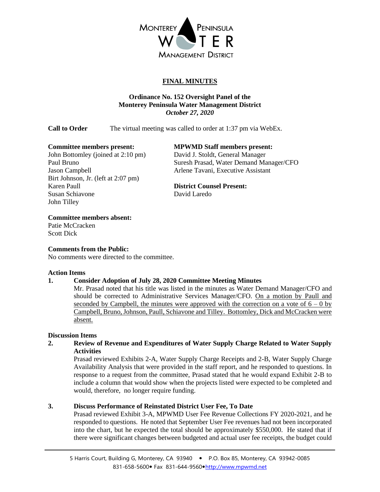

# **FINAL MINUTES**

# **Ordinance No. 152 Oversight Panel of the Monterey Peninsula Water Management District** *October 27, 2020*

**Call to Order** The virtual meeting was called to order at 1:37 pm via WebEx.

John Bottomley (joined at 2:10 pm) David J. Stoldt, General Manager Jason Campbell Arlene Tavani, Executive Assistant Birt Johnson, Jr. (left at 2:07 pm) Karen Paull **District Counsel Present:** Susan Schiavone David Laredo John Tilley

## **Committee members present: MPWMD Staff members present:**

Paul Bruno Suresh Prasad, Water Demand Manager/CFO

## **Committee members absent:**

Patie McCracken Scott Dick

## **Comments from the Public:**

No comments were directed to the committee.

## **Action Items**

# **1. Consider Adoption of July 28, 2020 Committee Meeting Minutes**

Mr. Prasad noted that his title was listed in the minutes as Water Demand Manager/CFO and should be corrected to Administrative Services Manager/CFO. On a motion by Paull and seconded by Campbell, the minutes were approved with the correction on a vote of  $6 - 0$  by Campbell, Bruno, Johnson, Paull, Schiavone and Tilley. Bottomley, Dick and McCracken were absent.

## **Discussion Items**

**2. Review of Revenue and Expenditures of Water Supply Charge Related to Water Supply Activities**

Prasad reviewed Exhibits 2-A, Water Supply Charge Receipts and 2-B, Water Supply Charge Availability Analysis that were provided in the staff report, and he responded to questions. In response to a request from the committee, Prasad stated that he would expand Exhibit 2-B to include a column that would show when the projects listed were expected to be completed and would, therefore, no longer require funding.

## **3. Discuss Performance of Reinstated District User Fee, To Date**

Prasad reviewed Exhibit 3-A, MPWMD User Fee Revenue Collections FY 2020-2021, and he responded to questions. He noted that September User Fee revenues had not been incorporated into the chart, but he expected the total should be approximately \$550,000. He stated that if there were significant changes between budgeted and actual user fee receipts, the budget could